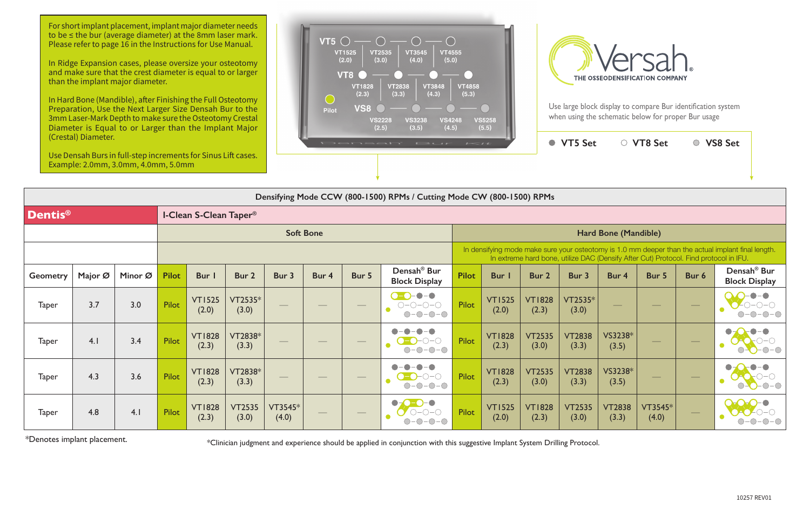For short implant placement, implant major diameter needs to be ≤ the bur (average diameter) at the 8mm laser mark. Please refer to page 16 in the Instructions for Use Manual.



In Ridge Expansion cases, please oversize your osteotomy and make sure that the crest diameter is equal to or larger than the implant major diameter.

In Hard Bone (Mandible), after Finishing the Full Osteotomy Preparation, Use the Next Larger Size Densah Bur to the 3mm Laser-Mark Depth to make sure the Osteotomy Crestal Diameter is Equal to or Larger than the Implant Major (Crestal) Diameter.

Use Densah Burs in full-step increments for Sinus Lift cases. Example: 2.0mm, 3.0mm, 4.0mm, 5.0mm





Use large block display to compare Bur identification system when using the schematic below for proper Bur usage

| Densifying Mode CCW (800-1500) RPMs / Cutting Mode CW (800-1500) RPMs |                     |         |                                          |                        |                        |                          |                          |                                             |                                                                                                                            |                                                                                                                                                                                             |                        |                        |                        |                          |                  |                          |                                                 |  |  |  |
|-----------------------------------------------------------------------|---------------------|---------|------------------------------------------|------------------------|------------------------|--------------------------|--------------------------|---------------------------------------------|----------------------------------------------------------------------------------------------------------------------------|---------------------------------------------------------------------------------------------------------------------------------------------------------------------------------------------|------------------------|------------------------|------------------------|--------------------------|------------------|--------------------------|-------------------------------------------------|--|--|--|
| <b>Dentis®</b>                                                        |                     |         | <b>I-Clean S-Clean Taper<sup>®</sup></b> |                        |                        |                          |                          |                                             |                                                                                                                            |                                                                                                                                                                                             |                        |                        |                        |                          |                  |                          |                                                 |  |  |  |
|                                                                       |                     |         |                                          |                        |                        |                          | <b>Soft Bone</b>         |                                             |                                                                                                                            | Hard Bone (Mandible)                                                                                                                                                                        |                        |                        |                        |                          |                  |                          |                                                 |  |  |  |
|                                                                       |                     |         |                                          |                        |                        |                          |                          |                                             |                                                                                                                            | In densifying mode make sure your osteotomy is 1.0 mm deeper than the actual implant final length.<br>In extreme hard bone, utilize DAC (Densify After Cut) Protocol. Find protocol in IFU. |                        |                        |                        |                          |                  |                          |                                                 |  |  |  |
| <b>Geometry</b>                                                       | Major $\varnothing$ | Minor Ø | <b>Pilot</b>                             | Bur I                  | Bur 2                  | Bur 3                    | Bur 4                    | Bur 5                                       | Densah <sup>®</sup> Bur<br><b>Block Display</b>                                                                            | <b>Pilot</b>                                                                                                                                                                                | <b>Bur</b>             | Bur 2                  | Bur 3                  | Bur 4                    | Bur 5            | Bur 6                    | Densah <sup>®</sup> Bur<br><b>Block Display</b> |  |  |  |
| <b>Taper</b>                                                          | 3.7                 | 3.0     | <b>Pilot</b>                             | <b>VT1525</b><br>(2.0) | VT2535*<br>(3.0)       | $\overline{\phantom{a}}$ | $\overline{\phantom{a}}$ | $\hspace{0.05cm}$                           | $\bullet - \bullet$<br>$\bigcap$<br>$\bigcirc\negmedspace-\bigcirc\negmedspace-\bigcirc\negmedspace-\bigcirc$<br>$O-O-O-O$ | Pilot                                                                                                                                                                                       | <b>VT1525</b><br>(2.0) | <b>VT1828</b><br>(2.3) | VT2535*<br>(3.0)       | $\overline{\phantom{a}}$ | $\frac{1}{2}$    | $\overline{\phantom{m}}$ |                                                 |  |  |  |
| <b>Taper</b>                                                          | 4.1                 | 3.4     | Pilot                                    | <b>VT1828</b><br>(2.3) | VT2838*<br>(3.3)       | $\hspace{0.05cm}$        | $\overline{\phantom{a}}$ | $\hspace{1.0cm} \overbrace{\hspace{1.0cm}}$ | $\bullet$<br>$\bigcirc$ -O-O-O<br>e<br>$O-O-O-O$                                                                           | Pilot                                                                                                                                                                                       | <b>VT1828</b><br>(2.3) | <b>VT2535</b><br>(3.0) | <b>VT2838</b><br>(3.3) | VS3238*<br>(3.5)         |                  |                          |                                                 |  |  |  |
| <b>Taper</b>                                                          | 4.3                 | 3.6     | <b>Pilot</b>                             | <b>VT1828</b><br>(2.3) | VT2838*<br>(3.3)       |                          |                          | $\hspace{1.0cm} \overbrace{\hspace{1.0cm}}$ | $\bullet$<br>$\bullet$<br>$\bigcirc$ - $\bigcirc$<br>$-0-0-0$<br>$\bigcirc$                                                | <b>Pilot</b>                                                                                                                                                                                | <b>VT1828</b><br>(2.3) | <b>VT2535</b><br>(3.0) | <b>VT2838</b><br>(3.3) | VS3238*<br>(3.5)         |                  |                          |                                                 |  |  |  |
| <b>Taper</b>                                                          | 4.8                 | 4.1     | Pilot                                    | <b>VT1828</b><br>(2.3) | <b>VT2535</b><br>(3.0) | VT3545*<br>(4.0)         |                          | $\overline{\phantom{a}}$                    | $\bullet$ -O<br><b>-0-0</b><br>$\mathbf{V}$<br>$\bigcirc$ -<br>$\bigcirc$                                                  | Pilot                                                                                                                                                                                       | <b>VT1525</b><br>(2.0) | <b>VT1828</b><br>(2.3) | <b>VT2535</b><br>(3.0) | <b>VT2838</b><br>(3.3)   | VT3545*<br>(4.0) | $\frac{1}{2}$            |                                                 |  |  |  |

\*Denotes implant placement.

\*Clinician judgment and experience should be applied in conjunction with this suggestive Implant System Drilling Protocol.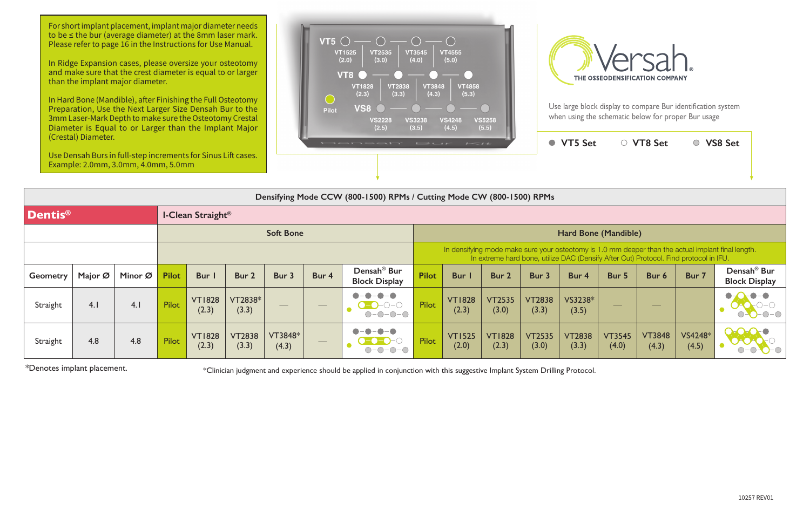For short implant placement, implant major diameter needs to be ≤ the bur (average diameter) at the 8mm laser mark. Please refer to page 16 in the Instructions for Use Manual.



In Ridge Expansion cases, please oversize your osteotomy and make sure that the crest diameter is equal to or larger than the implant major diameter.

In Hard Bone (Mandible), after Finishing the Full Osteotomy Preparation, Use the Next Larger Size Densah Bur to the 3mm Laser-Mark Depth to make sure the Osteotomy Crestal Diameter is Equal to or Larger than the Implant Major (Crestal) Diameter.

Use Densah Burs in full-step increments for Sinus Lift cases. Example: 2.0mm, 3.0mm, 4.0mm, 5.0mm





Use large block display to compare Bur identification system when using the schematic below for proper Bur usage

| Densifying Mode CCW (800-1500) RPMs / Cutting Mode CW (800-1500) RPMs |                  |         |                          |                        |                        |                  |                                             |                                                 |                                                                                                                                                                                             |                        |                        |                        |                        |                        |                        |                  |                                                 |  |  |
|-----------------------------------------------------------------------|------------------|---------|--------------------------|------------------------|------------------------|------------------|---------------------------------------------|-------------------------------------------------|---------------------------------------------------------------------------------------------------------------------------------------------------------------------------------------------|------------------------|------------------------|------------------------|------------------------|------------------------|------------------------|------------------|-------------------------------------------------|--|--|
| <b>Dentis®</b>                                                        |                  |         | <b>I-Clean Straight®</b> |                        |                        |                  |                                             |                                                 |                                                                                                                                                                                             |                        |                        |                        |                        |                        |                        |                  |                                                 |  |  |
|                                                                       | <b>Soft Bone</b> |         |                          |                        |                        |                  |                                             | Hard Bone (Mandible)                            |                                                                                                                                                                                             |                        |                        |                        |                        |                        |                        |                  |                                                 |  |  |
|                                                                       |                  |         |                          |                        |                        |                  |                                             |                                                 | In densifying mode make sure your osteotomy is 1.0 mm deeper than the actual implant final length.<br>In extreme hard bone, utilize DAC (Densify After Cut) Protocol. Find protocol in IFU. |                        |                        |                        |                        |                        |                        |                  |                                                 |  |  |
| <b>Geometry</b>                                                       | Major Ø          | Minor Ø | <b>Pilot</b>             | Bur I                  | Bur 2                  | Bur 3            | Bur 4                                       | Densah <sup>®</sup> Bur<br><b>Block Display</b> | <b>Pilot</b>                                                                                                                                                                                | <b>Bur</b> I           | Bur 2                  | Bur 3                  | Bur 4                  | Bur 5                  | Bur 6                  | Bur 7            | Densah <sup>®</sup> Bur<br><b>Block Display</b> |  |  |
| Straight                                                              | 4.1              | 4.1     | <b>Pilot</b>             | <b>VT1828</b><br>(2.3) | VT2838*<br>(3.3)       | $\hspace{0.1cm}$ | $\hspace{1.0cm} \overbrace{\hspace{1.0cm}}$ | $\bullet - \bullet$<br>$\bullet$<br>$O-O-O-O$   | Pilot                                                                                                                                                                                       | <b>VT1828</b><br>(2.3) | <b>VT2535</b><br>(3.0) | <b>VT2838</b><br>(3.3) | VS3238*<br>(3.5)       |                        |                        |                  | $O-O-O-O$                                       |  |  |
| Straight                                                              | 4.8              | 4.8     | Pilot                    | <b>VT1828</b><br>(2.3) | <b>VT2838</b><br>(3.3) | VT3848*<br>(4.3) | $\qquad \qquad - \qquad$                    | $\bullet - \bullet$<br>$\bullet$<br>$-O$ - $O$  | Pilot                                                                                                                                                                                       | <b>VT1525</b><br>(2.0) | <b>VT1828</b><br>(2.3) | <b>VT2535</b><br>(3.0) | <b>VT2838</b><br>(3.3) | <b>VT3545</b><br>(4.0) | <b>VT3848</b><br>(4.3) | VS4248*<br>(4.5) |                                                 |  |  |

\*Denotes implant placement.

\*Clinician judgment and experience should be applied in conjunction with this suggestive Implant System Drilling Protocol.